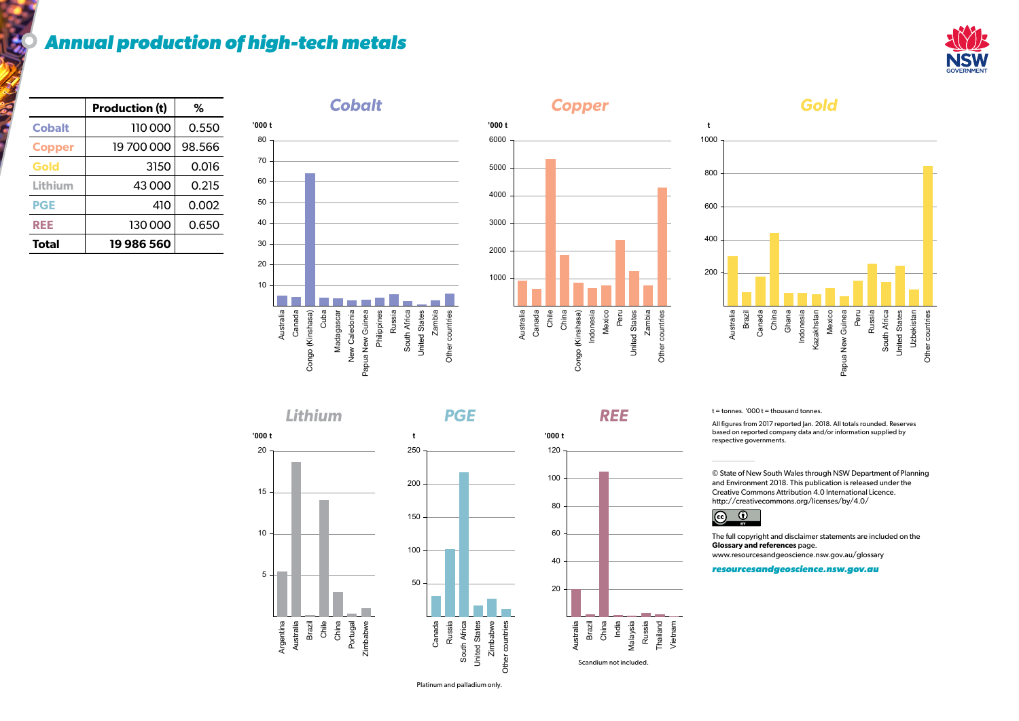## *Annual production of high-tech metals*

*Lithium* Zimbabwe Portugal<br>Zimbabwe Brazil Chile China Australia Argentina 5 10 15 20 **'000 t**

*Gold*



 $t =$  tonnes. '000  $t =$  thousand tonnes.

Brazil Australia







Platinum and palladium only.





|               | <b>Production (t)</b> | ℅      |
|---------------|-----------------------|--------|
| <b>Cobalt</b> | 110000                | 0.550  |
| <b>Copper</b> | 19700000              | 98.566 |
| Gold          | 3150                  | 0.016  |
| Lithium       | 43000                 | 0.215  |
| <b>PGE</b>    | 410                   | 0.002  |
| REE           | 130000                | 0.650  |
| <b>Total</b>  | 19986560              |        |

All figures from 2017 reported Jan. 2018. All totals rounded. Reserves based on reported company data and/or information supplied by respective governments.

© State of New South Wales through NSW Department of Planning and Environment 2018. This publication is released under the Creative Commons Attribution 4.0 International Licence. [http://creativecommons.org/licenses/by/4.0/](https://creativecommons.org/licenses/by/4.0/)



The full copyright and disclaimer statements are included on the [www.resourcesandgeoscience.nsw.gov.au/glossary](https://www.resourcesandgeoscience.nsw.gov.au/glossary)

**Glossary and references** page.

*[resourcesandgeoscience.nsw.gov.au](https://www.resourcesandgeoscience.nsw.gov.au/)*